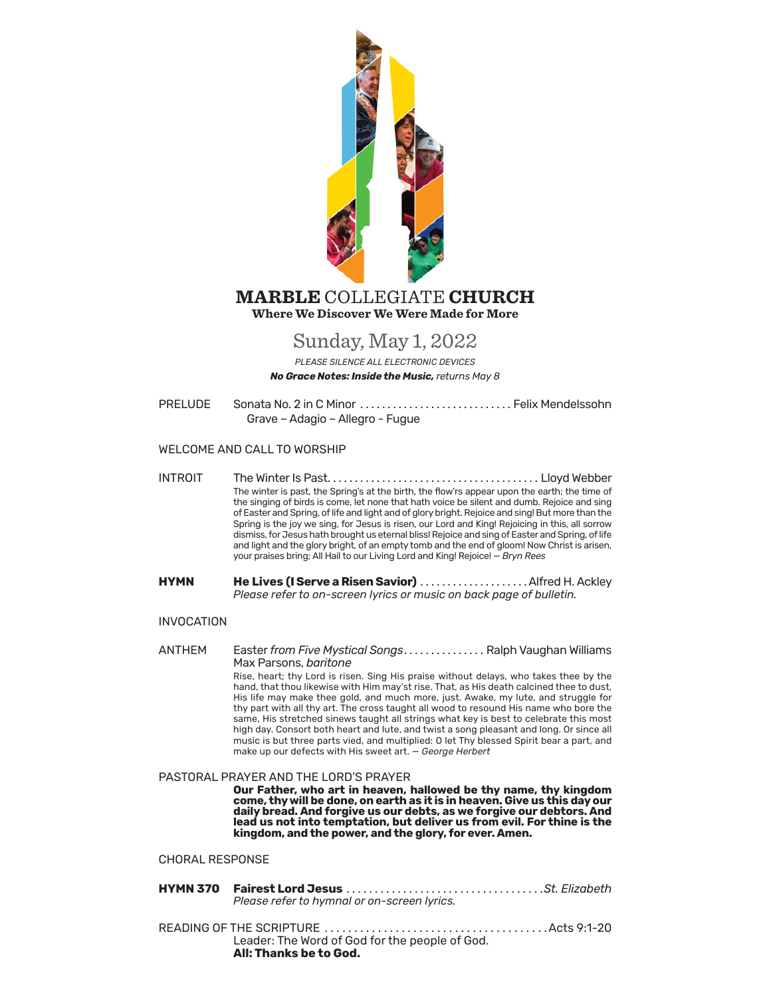

## **Where We Discover We Were Made for More MARBLE** COLLEGIATE **CHURCH**

# Sunday, May 1, 2022

*PLEASE SILENCE ALL ELECTRONIC DEVICES No Grace Notes: Inside the Music, returns May 8*

PRELUDE Sonata No. 2 in C Minor .............................. Felix Mendelssohn Grave – Adagio – Allegro - Fugue

### WELCOME AND CALL TO WORSHIP

- INTROIT The Winter Is Past . . . . . . . . . . . . . . . . . . . . . . . . . . . . . . . . . . . . . . . Lloyd Webber The winter is past, the Spring's at the birth, the flow'rs appear upon the earth; the time of the singing of birds is come, let none that hath voice be silent and dumb. Rejoice and sing of Easter and Spring, of life and light and of glory bright. Rejoice and sing! But more than the Spring is the joy we sing, for Jesus is risen, our Lord and King! Rejoicing in this, all sorrow dismiss, for Jesus hath brought us eternal bliss! Rejoice and sing of Easter and Spring, of life and light and the glory bright, of an empty tomb and the end of gloom! Now Christ is arisen, your praises bring; All Hail to our Living Lord and King! Rejoice! — *Bryn Rees*
- **HYMN He Lives (I Serve a Risen Savior)** . . . . . . . . . . . . . . . . . . . .Alfred H. Ackley *Please refer to on-screen lyrics or music on back page of bulletin.*

#### INVOCATION

ANTHEM Easter *from Five Mystical Songs* . . . . . . . . . . . . . . . Ralph Vaughan Williams Max Parsons, *baritone* Rise, heart; thy Lord is risen. Sing His praise without delays, who takes thee by the hand, that thou likewise with Him may'st rise. That, as His death calcined thee to dust, His life may make thee gold, and much more, just. Awake, my lute, and struggle for thy part with all thy art. The cross taught all wood to resound His name who bore the same, His stretched sinews taught all strings what key is best to celebrate this most high day. Consort both heart and lute, and twist a song pleasant and long. Or since all music is but three parts vied, and multiplied: O let Thy blessed Spirit bear a part, and make up our defects with His sweet art. — *George Herbert*

#### PASTORAL PRAYER AND THE LORD'S PRAYER

**Our Father, who art in heaven, hallowed be thy name, thy kingdom come, thy will be done, on earth as it is in heaven. Give us this day our daily bread. And forgive us our debts, as we forgive our debtors. And lead us not into temptation, but deliver us from evil. For thine is the kingdom, and the power, and the glory, for ever. Amen.**

#### CHORAL RESPONSE

| Please refer to hymnal or on-screen lyrics.                              |  |
|--------------------------------------------------------------------------|--|
| Leader: The Word of God for the people of God.<br>All: Thanks be to God. |  |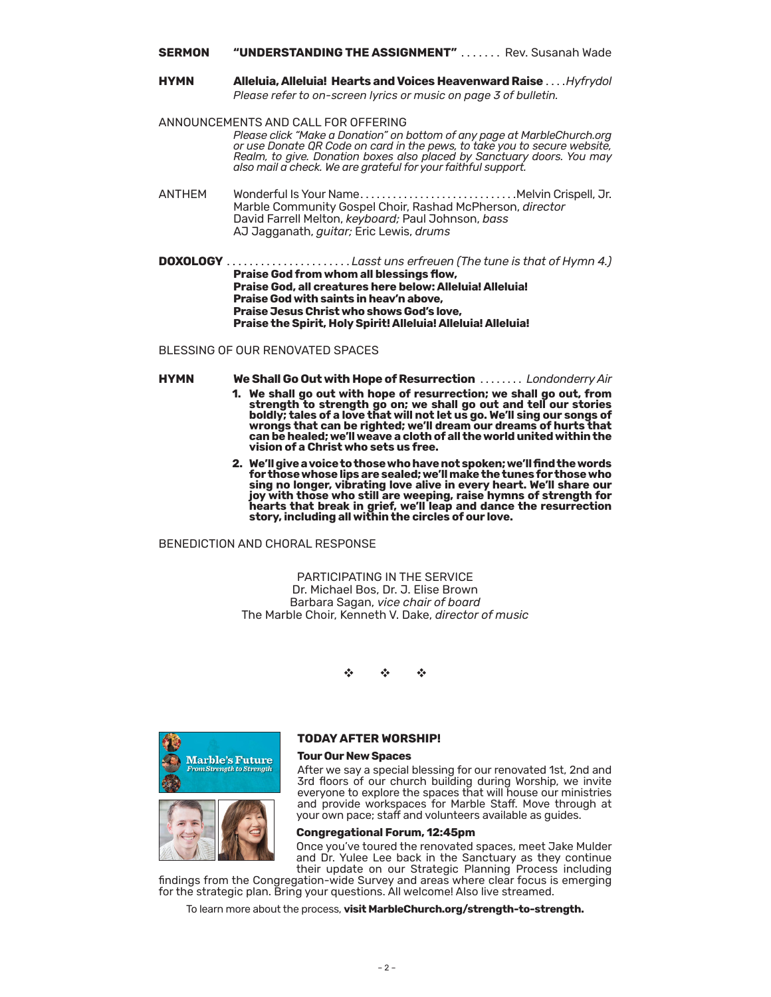#### **SERMON "UNDERSTANDING THE ASSIGNMENT"** . . . . . . . Rev. Susanah Wade

**HYMN Alleluia, Alleluia! Hearts and Voices Heavenward Raise** . . . .*Hyfrydol Please refer to on-screen lyrics or music on page 3 of bulletin.*

ANNOUNCEMENTS AND CALL FO[R OFFERING](https://onrealm.org/marblechurch/-/give/now) *Please clic[k "Make a Donation" o](https://onrealm.org/marblechurch/-/give/now)n bottom of any page at MarbleChurch.org or use Donate QR Code on card in the pews, to take you to secure website, Realm, to give. Donation boxes also placed by Sanctuary doors. You may also mail a check. We are grateful for your faithful support.*

- ANTHEM Wonderful Is Your Name...................................Melvin Crispell, Jr. Marble Community Gospel Choir, Rashad McPherson, *director* David Farrell Melton, *keyboard;* Paul Johnson, *bass* AJ Jagganath, *guitar;* Eric Lewis, *drums*
- **DOXOLOGY** . . . . . . . . . . . . . . . . . . . . . . *Lasst uns erfreuen (The tune is that of Hymn 4.)*  **Praise God from whom all blessings flow, Praise God, all creatures here below: Alleluia! Alleluia! Praise God with saints in heav'n above, Praise Jesus Christ who shows God's love, Praise the Spirit, Holy Spirit! Alleluia! Alleluia! Alleluia!**

#### BLESSING OF OUR RENOVATED SPACES

- **HYMN We Shall Go Out with Hope of Resurrection** . . . . . . . . *Londonderry Air* **1. We shall go out with hope of resurrection; we shall go out, from** 
	- **strength to strength go on; we shall go out and tell our stories boldly; tales of a love that will not let us go. We'll sing our songs of wrongs that can be righted; we'll dream our dreams of hurts that can be healed; we'll weave a cloth of all the world united within the vision of a Christ who sets us free.**
	- **2. We'll give a voice to those who have not spoken; we'll find the words for those whose lips are sealed; we'll make the tunes for those who sing no longer, vibrating love alive in every heart. We'll share our joy with those who still are weeping, raise hymns of strength for hearts that break in grief, we'll leap and dance the resurrection story, including all within the circles of our love.**

### BENEDICTION AND CHORAL RESPONSE

PARTICIPATING IN THE SERVICE Dr. Michael Bos, Dr. J. Elise Brown Barbara Sagan, *vice chair of board* The Marble Choir, Kenneth V. Dake, *director of music*

v v v



#### **TODAY AFTER WORSHIP!**

#### **Tour Our New Spaces**

After we say a special blessing for our renovated 1st, 2nd and 3rd floors of our church building during Worship, we invite everyone to explore the spaces that will house our ministries and provide workspaces for Marble Staff. Move through at your own pace; staff and volunteers available as guides.

#### **Congregational Forum, 12:45pm**

Once you've toured the renovated spaces, meet Jake Mulder and Dr. Yulee Lee back in the Sanctuary as they continue their update on our Strategic Planning Process including

findings from the Congregation-wide Survey and areas where clear focus is emerging for the strategic plan. Bring your questions. All welcome! Also live streamed.

To learn more about the process, **visit [MarbleChurch.org/strength-to-strength.](https://www.marblechurch.org/strength-to-strength)**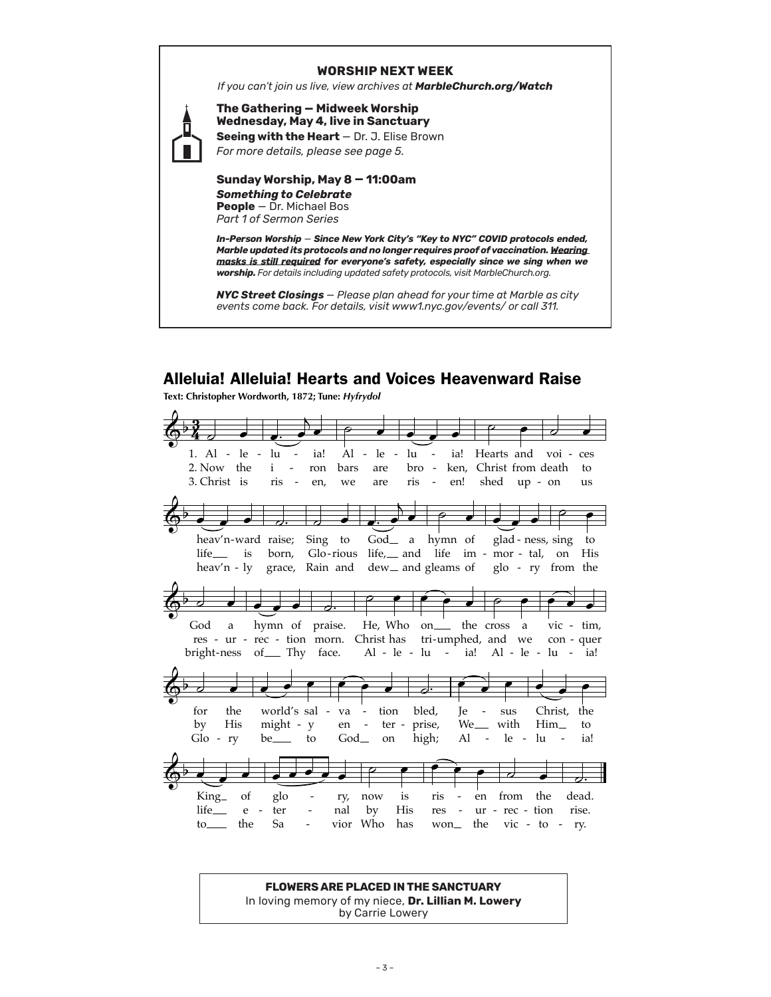#### **WORSHIP NEXT WEEK**

*If you can't join us live, view archives at MarbleChurch.org/Watch*



**The Gathering — Midweek Worship Wednesday, May 4, live in Sanctuary Seeing with the Heart** — Dr. J. Elise Brown

*For more details, please see page 5.*

**Sunday Worship, May 8 — 11:00am** *Something to Celebrate* **People** – Dr. Michael Bos *Part 1 of Sermon Series*

*In-Person Worship* — *Since New York City's "Key to NYC" COVID protocols ended, Marble updated its protocols and no longer requires proof of vaccination. Wearing masks is still required for everyone's safety, especially since we sing when we worship. For details including updated safety protocols, visit MarbleChurch.org.*

*NYC Street Closings — Please plan ahead for your time at Marble as city events come back. For details, visit [www1.nyc.gov/events/](https://www1.nyc.gov/events/) or call 311.*

## Alleluia! Alleluia! Hearts and Voices Heavenward Raise

Text: Christopher Wordworth, 1872; Tune: Hyfrydol



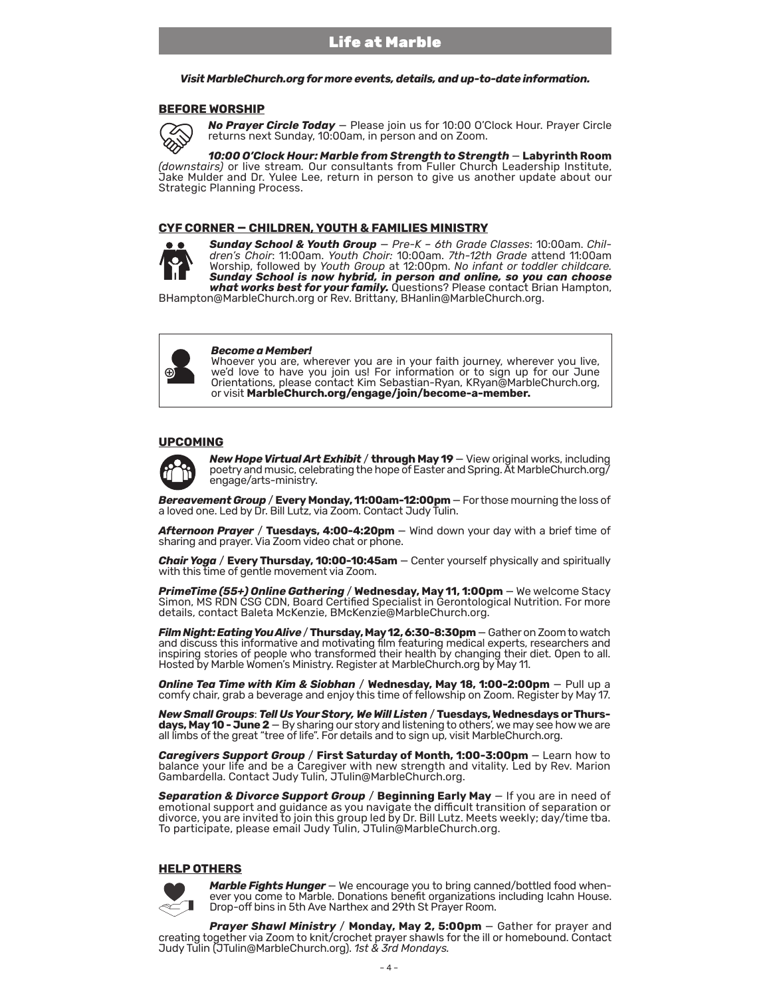#### *Visit MarbleChurch.org for more events, details, and up-to-date information.*

#### **BEFORE WORSHIP**



*No Prayer Circle Today* — Please join us for 10:00 O'Clock Hour. Prayer Circle returns next Sunday, 10:00am, in person and on Zoom.

*10:00 O'Clock Hour: Marble from Strength to Strength* — **Labyrinth Room**  *(downstairs)* or live stream*.* Our consultants from Fuller Church Leadership Institute, Jake Mulder and Dr. Yulee Lee, return in person to give us another update about our Strategic Planning Process.

#### **CYF CORNER — CHILDREN, YOUTH & FAMILIES MINISTRY**



*Sunday School & Youth Group* — *Pre-K – 6th Grade Classes*: 10:00am. *Chil- dren's Choir*: 11:00am. *Youth Choir:* 10:00am. *7th-12th Grade* attend 11:00am Worship, followed by *Youth Group* at 12:00pm. *No infant or toddler childcare. Sunday School is now hybrid, in person and online, so you can choose what works best for your family.* Questions? Please contact Brian Hampton,

BHampton@MarbleChurch.org or Rev. Brittany, BHanlin@MarbleChurch.org.



#### *Become a Member!*

Whoever you are, wherever you are in your faith journey, wherever you live, we'd love to have you join us! For information or to sign up for our June Orientations, please contact Kim Sebastian-Ryan, KRyan@MarbleChurch.org, or visit **[MarbleChurch.org/engage/join/become-a-member.](https://www.marblechurch.org/engage/join/become-a-member)**

#### **UPCOMING**



*New Hope Virtual Art Exhibit* / **through May 19** — View original works, including poetry and music, celebrating the hope of Easter and Spring. At MarbleChurch.org/ engage/arts-ministry.

*Bereavement Group* / **Every Monday, 11:00am-12:00pm** — For those mourning the loss of a loved one. Led by Dr. Bill Lutz, via Zoom. Contact Judy Tulin.

*Afternoon Prayer* / **Tuesdays, 4:00-4:20pm** — Wind down your day with a brief time of sharing and prayer. Via Zoom video chat or phone.

*Chair Yoga* / **Every Thursday, 10:00-10:45am** — Center yourself physically and spiritually with this time of gentle movement via Zoom.

*PrimeTime (55+) Online Gathering* / **Wednesday, May 11, 1:00pm** — We welcome Stacy Simon, MS RDN CSG CDN, Board Certified Specialist in Gerontological Nutrition. For more details, contact Baleta McKenzie, BMcKenzie@MarbleChurch.org.

*Film Night: Eating You Alive* / **Thursday, May 12, 6:30-8:30pm** — Gather on Zoom to watch and discuss this informative and motivating film featuring medical experts, researchers and inspiring stories of people who transformed their health by changing their diet. Open to all. Hosted by Marble Women's Ministry. Register at MarbleChurch.org by May 11.

*Online Tea Time with Kim & Siobhan* / **Wednesday, May 18, 1:00-2:00pm** — Pull up a comfy chair, grab a beverage and enjoy this time of fellowship on Zoom. Register by May 17.

**New Small Groups: Tell Us Your Story, We Will Listen / Tuesdays, Wednesdays or Thurs-<br>days, May 10 - June 2** – By sharing our story and listening to others', we may see how we are<br>all limbs of the great "tree of life". Fo

*Caregivers Support Group* / **First Saturday of Month, 1:00-3:00pm** — Learn how to balance your life and be a Caregiver with new strength and vitality. Led by Rev. Marion Gambardella. Contact Judy Tulin, JTulin@MarbleChurch.org.

*Separation & Divorce Support Group* / **Beginning Early May** — If you are in need of emotional support and guidance as you navigate the difficult transition of separation or divorce, you are invited to join this group led by Dr. Bill Lutz. Meets weekly; day/time tba. To participate, please email Judy Tulin, JTulin@MarbleChurch.org.

#### **HELP OTHERS**



*Marble Fights Hunger* — We encourage you to bring canned/bottled food when- ever you come to Marble. Donations benefit organizations including Icahn House. Drop-off bins in 5th Ave Narthex and 29th St Prayer Room.

*Prayer Shawl Ministry* / **Monday, May 2, 5:00pm** — Gather for prayer and creating together via Zoom to knit/crochet prayer shawls for the ill or homebound. Contact Judy Tulin (JTulin@MarbleChurch.org). *1st & 3rd Mondays.*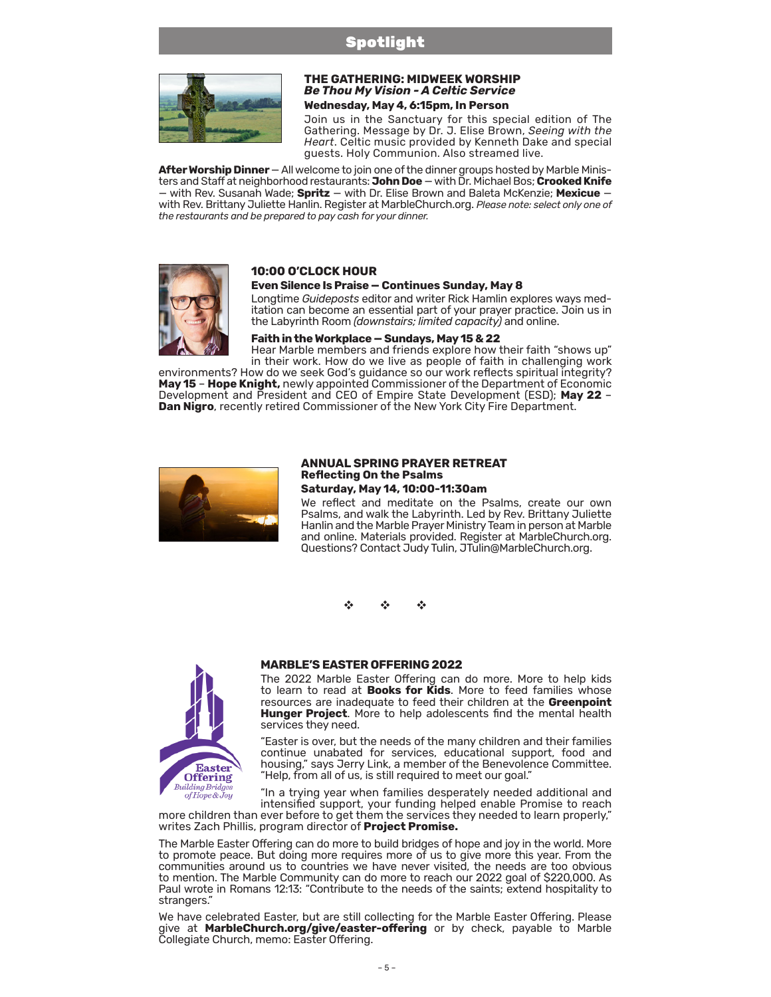## Spotlight



#### **THE GATHERING: MIDWEEK WORSHIP** *Be Thou My Vision - A Celtic Service* **Wednesday, May 4, 6:15pm, In Person**

Join us in the Sanctuary for this special edition of The Gathering. Message by Dr. J. Elise Brown, *Seeing with the Heart*. Celtic music provided by Kenneth Dake and special guests. Holy Communion. Also streamed live.

**After Worship Dinner** — All welcome to join one of the dinner groups hosted by Marble Ministers and Staff at neighborhood restaurants: **John Doe** — with Dr. Michael Bos; **Crooked Knife** — with Rev. Susanah Wade; **Spritz** — with Dr. Elise Brown and Baleta McKenzie; **Mexicue** with Rev. Brittany Juliette Hanlin. Register at MarbleChurch.org. *Please note: select only one of the restaurants and be prepared to pay cash for your dinner.*



### **10:00 O'CLOCK HOUR**

#### **Even Silence Is Praise — Continues Sunday, May 8**

Longtime *Guideposts* editor and writer Rick Hamlin explores ways meditation can become an essential part of your prayer practice. Join us in the Labyrinth Room *(downstairs; limited capacity)* and online.

#### **Faith in the Workplace — Sundays, May 15 & 22**

Hear Marble members and friends explore how their faith "shows up" in their work. How do we live as people of faith in challenging work

environments? How do we seek God's guidance so our work reflects spiritual integrity? **May 15** – **Hope Knight,** newly appointed Commissioner of the Department of Economic Development and President and CEO of Empire State Development (ESD); **May 22** – **Dan Nigro**, recently retired Commissioner of the New York City Fire Department.



#### **ANNUAL SPRING PRAYER RETREAT Reflecting On the Psalms Saturday, May 14, 10:00-11:30am**

We reflect and meditate on the Psalms, create our own Psalms, and walk the Labyrinth. Led by Rev. Brittany Juliette Hanlin and the Marble Prayer Ministry Team in person at Marble and online. Materials provided. Register at MarbleChurch.org. Questions? Contact Judy Tulin, JTulin@MarbleChurch.org.

v v v



### **MARBLE'S EASTER OFFERING 2022**

The 2022 Marble Easter Offering can do more. More to help kids to learn to read at **Books for Kids**. More to feed families whose resources are inadequate to feed their children at the **Greenpoint Hunger Project**. More to help adolescents find the mental health services they need.

"Easter is over, but the needs of the many children and their families continue unabated for services, educational support, food and housing," says Jerry Link, a member of the Benevolence Committee. "Help, from all of us, is still required to meet our goal."

"In a trying year when families desperately needed additional and

intensified support, your funding helped enable Promise to reach more children than ever before to get them the services they needed to learn properly," writes Zach Phillis, program director of **Project Promise.**

The Marble Easter Offering can do more to build bridges of hope and joy in the world. More to promote peace. But doing more requires more of us to give more this year. From the communities around us to countries we have never visited, the needs are too obvious to mention. The Marble Community can do more to reach our 2022 goal of \$220,000. As Paul wrote in Romans 12:13: "Contribute to the needs of the saints; extend hospitality to strangers."

We have celebrated Easter, but are still collecting for the Marble Easter Offering. Please give at **[MarbleChurch.org/give/easter-offering](https://onrealm.org/marblechurch/-/give/easteroffering)** or by check, payable to Marble Collegiate Church, memo: Easter Offering.